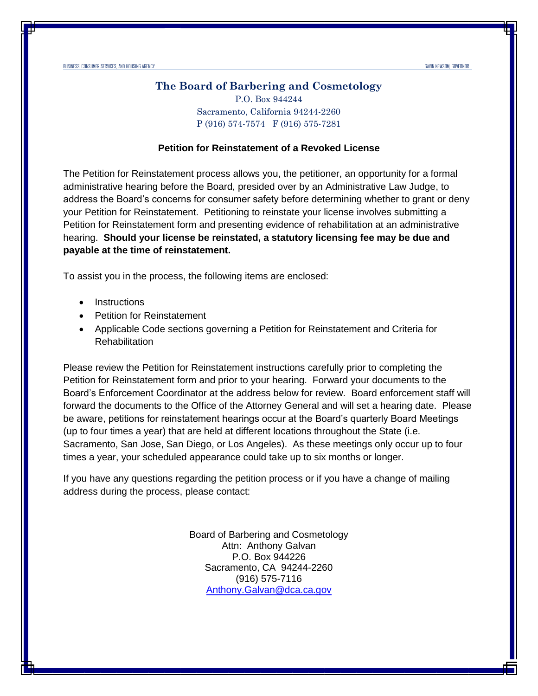#### **The Board of Barbering and Cosmetology**

 P (916) 574-7574 F (916) 575-7281 P.O. Box 944244 Sacramento, California 94244-2260

#### **Petition for Reinstatement of a Revoked License**

 The Petition for Reinstatement process allows you, the petitioner, an opportunity for a formal administrative hearing before the Board, presided over by an Administrative Law Judge, to address the Board's concerns for consumer safety before determining whether to grant or deny your Petition for Reinstatement. Petitioning to reinstate your license involves submitting a Petition for Reinstatement form and presenting evidence of rehabilitation at an administrative  hearing. **Should your license be reinstated, a statutory licensing fee may be due and payable at the time of reinstatement.** 

To assist you in the process, the following items are enclosed:

- Instructions
- Petition for Reinstatement
- • Applicable Code sections governing a Petition for Reinstatement and Criteria for **Rehabilitation**

 Please review the Petition for Reinstatement instructions carefully prior to completing the Petition for Reinstatement form and prior to your hearing. Forward your documents to the Board's Enforcement Coordinator at the address below for review. Board enforcement staff will forward the documents to the Office of the Attorney General and will set a hearing date. Please be aware, petitions for reinstatement hearings occur at the Board's quarterly Board Meetings (up to four times a year) that are held at different locations throughout the State (i.e. Sacramento, San Jose, San Diego, or Los Angeles). As these meetings only occur up to four times a year, your scheduled appearance could take up to six months or longer.

 If you have any questions regarding the petition process or if you have a change of mailing address during the process, please contact:

> Board of Barbering and Cosmetology Attn: Anthony Galvan P.O. Box 944226 Sacramento, CA 94244-2260 (916) 575-7116 [Anthony.Galvan@dca.ca.gov](mailto:Anthony.Galvan@dca.ca.gov)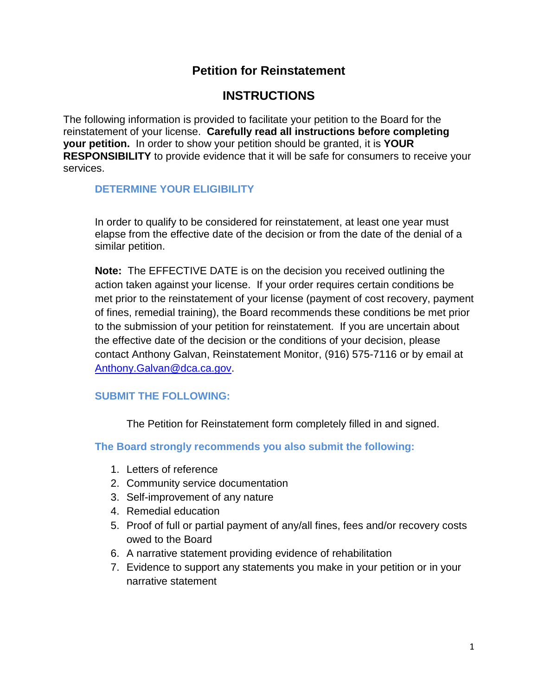# **Petition for Reinstatement**

# **INSTRUCTIONS**

 reinstatement of your license. **Carefully read all instructions before completing**  The following information is provided to facilitate your petition to the Board for the **your petition.** In order to show your petition should be granted, it is **YOUR RESPONSIBILITY** to provide evidence that it will be safe for consumers to receive your services.

## **DETERMINE YOUR ELIGIBILITY**

 elapse from the effective date of the decision or from the date of the denial of a In order to qualify to be considered for reinstatement, at least one year must similar petition.

 **Note:** The EFFECTIVE DATE is on the decision you received outlining the to the submission of your petition for reinstatement. If you are uncertain about action taken against your license. If your order requires certain conditions be met prior to the reinstatement of your license (payment of cost recovery, payment of fines, remedial training), the Board recommends these conditions be met prior the effective date of the decision or the conditions of your decision, please contact Anthony Galvan, Reinstatement Monitor, (916) 575-7116 or by email at [Anthony.Galvan@dca.ca.gov.](mailto:Anthony.Galvan@dca.ca.gov)

## **SUBMIT THE FOLLOWING:**

The Petition for Reinstatement form completely filled in and signed.

## **The Board strongly recommends you also submit the following:**

- 1. Letters of reference
- 2. Community service documentation
- 3. Self-improvement of any nature
- 4. Remedial education
- 5. Proof of full or partial payment of any/all fines, fees and/or recovery costs owed to the Board
- 6. A narrative statement providing evidence of rehabilitation
- 7. Evidence to support any statements you make in your petition or in your narrative statement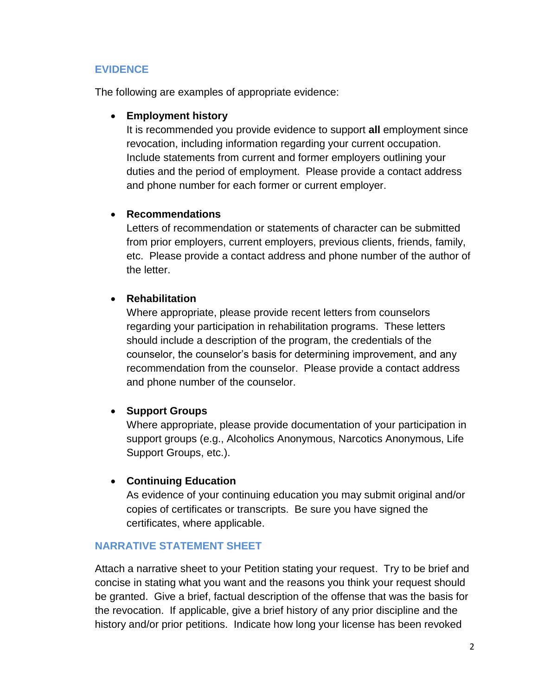## **EVIDENCE**

The following are examples of appropriate evidence:

## • **Employment history**

 duties and the period of employment. Please provide a contact address and phone number for each former or current employer. It is recommended you provide evidence to support **all** employment since revocation, including information regarding your current occupation. Include statements from current and former employers outlining your

## • **Recommendations**

 etc. Please provide a contact address and phone number of the author of Letters of recommendation or statements of character can be submitted from prior employers, current employers, previous clients, friends, family, the letter.

# • **Rehabilitation**

 regarding your participation in rehabilitation programs. These letters should include a description of the program, the credentials of the counselor, the counselor's basis for determining improvement, and any and phone number of the counselor. Where appropriate, please provide recent letters from counselors recommendation from the counselor. Please provide a contact address

# • **Support Groups**

Where appropriate, please provide documentation of your participation in support groups (e.g., Alcoholics Anonymous, Narcotics Anonymous, Life Support Groups, etc.).

## • **Continuing Education**

As evidence of your continuing education you may submit original and/or copies of certificates or transcripts. Be sure you have signed the certificates, where applicable.

## **NARRATIVE STATEMENT SHEET**

 Attach a narrative sheet to your Petition stating your request. Try to be brief and the revocation. If applicable, give a brief history of any prior discipline and the history and/or prior petitions. Indicate how long your license has been revoked concise in stating what you want and the reasons you think your request should be granted. Give a brief, factual description of the offense that was the basis for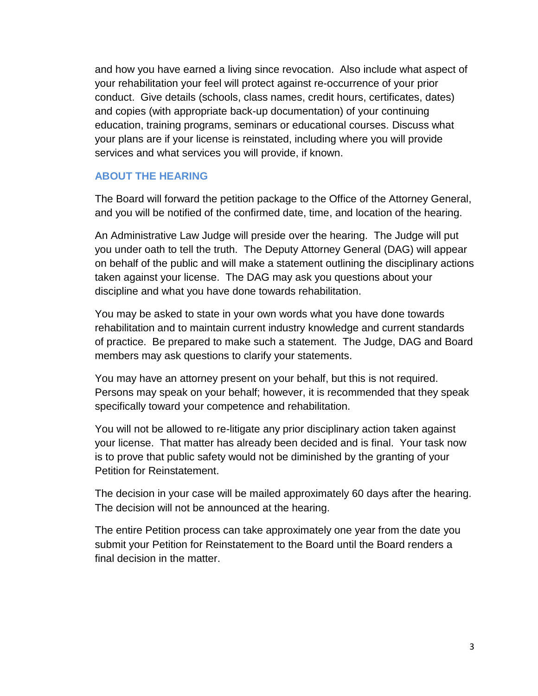and how you have earned a living since revocation. Also include what aspect of your rehabilitation your feel will protect against re-occurrence of your prior conduct. Give details (schools, class names, credit hours, certificates, dates) and copies (with appropriate back-up documentation) of your continuing education, training programs, seminars or educational courses. Discuss what your plans are if your license is reinstated, including where you will provide services and what services you will provide, if known.

## **ABOUT THE HEARING**

The Board will forward the petition package to the Office of the Attorney General, and you will be notified of the confirmed date, time, and location of the hearing.

 An Administrative Law Judge will preside over the hearing. The Judge will put discipline and what you have done towards rehabilitation. you under oath to tell the truth. The Deputy Attorney General (DAG) will appear on behalf of the public and will make a statement outlining the disciplinary actions taken against your license. The DAG may ask you questions about your

 rehabilitation and to maintain current industry knowledge and current standards of practice. Be prepared to make such a statement. The Judge, DAG and Board You may be asked to state in your own words what you have done towards members may ask questions to clarify your statements.

You may have an attorney present on your behalf, but this is not required. Persons may speak on your behalf; however, it is recommended that they speak specifically toward your competence and rehabilitation.

You will not be allowed to re-litigate any prior disciplinary action taken against your license. That matter has already been decided and is final. Your task now is to prove that public safety would not be diminished by the granting of your Petition for Reinstatement.

The decision in your case will be mailed approximately 60 days after the hearing. The decision will not be announced at the hearing.

 submit your Petition for Reinstatement to the Board until the Board renders a final decision in the matter. The entire Petition process can take approximately one year from the date you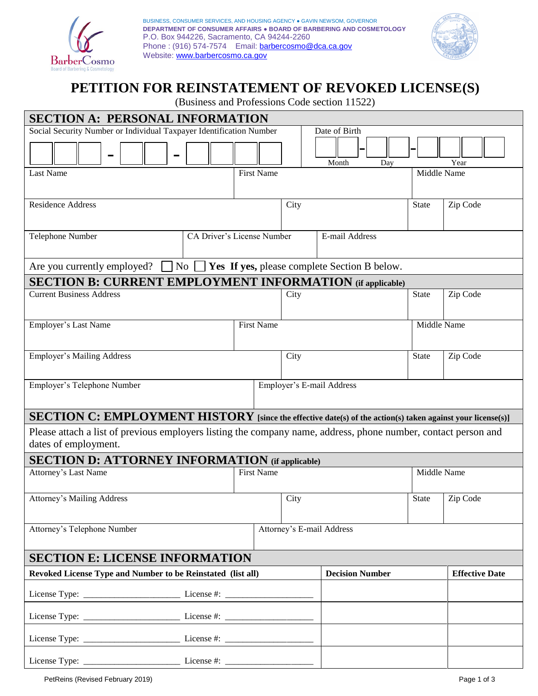

Phone : (916) 574-7574 Email: **barbercosmo@dca.ca.gov** BUSINESS, CONSUMER SERVICES, AND HOUSING AGENCY ● GAVIN NEWSOM, GOVERNOR **DEPARTMENT OF CONSUMER AFFAIRS ● BOARD OF BARBERING AND COSMETOLOGY**  P.O. Box 944226, Sacramento, CA 94244-2260 Website: www.barbercosmo.ca.gov



# **PETITION FOR REINSTATEMENT OF REVOKED LICENSE(S)**

(Business and Professions Code section 11522)

| <b>SECTION A: PERSONAL INFORMATION</b>                                                                                                 |                            |                   |                           |             |                        |              |                       |  |
|----------------------------------------------------------------------------------------------------------------------------------------|----------------------------|-------------------|---------------------------|-------------|------------------------|--------------|-----------------------|--|
| Social Security Number or Individual Taxpayer Identification Number                                                                    |                            |                   |                           |             | Date of Birth          |              |                       |  |
|                                                                                                                                        |                            |                   |                           |             | Month<br>Day           |              | Year                  |  |
| Last Name                                                                                                                              |                            | <b>First Name</b> |                           |             |                        | Middle Name  |                       |  |
| Residence Address                                                                                                                      |                            |                   |                           | City        |                        | <b>State</b> | Zip Code              |  |
| Telephone Number                                                                                                                       | CA Driver's License Number |                   |                           |             | E-mail Address         |              |                       |  |
| $\overline{N_{0}}$<br>Are you currently employed?<br>Yes If yes, please complete Section B below.                                      |                            |                   |                           |             |                        |              |                       |  |
| <b>SECTION B: CURRENT EMPLOYMENT INFORMATION</b> (if applicable)                                                                       |                            |                   |                           |             |                        |              |                       |  |
| <b>Current Business Address</b>                                                                                                        |                            |                   |                           | City        |                        | <b>State</b> | Zip Code              |  |
| <b>Employer's Last Name</b><br><b>First Name</b>                                                                                       |                            |                   |                           | Middle Name |                        |              |                       |  |
| <b>Employer's Mailing Address</b>                                                                                                      |                            |                   | City                      |             |                        | <b>State</b> | Zip Code              |  |
| Employer's Telephone Number                                                                                                            |                            |                   | Employer's E-mail Address |             |                        |              |                       |  |
| SECTION C: EMPLOYMENT HISTORY [since the effective date(s) of the action(s) taken against your license(s)]                             |                            |                   |                           |             |                        |              |                       |  |
| Please attach a list of previous employers listing the company name, address, phone number, contact person and<br>dates of employment. |                            |                   |                           |             |                        |              |                       |  |
| <b>SECTION D: ATTORNEY INFORMATION</b> (if applicable)                                                                                 |                            |                   |                           |             |                        |              |                       |  |
| Attorney's Last Name                                                                                                                   |                            |                   | <b>First Name</b>         |             |                        | Middle Name  |                       |  |
| <b>Attorney's Mailing Address</b>                                                                                                      |                            |                   |                           | City        |                        | <b>State</b> | Zip Code              |  |
| Attorney's Telephone Number                                                                                                            |                            |                   | Attorney's E-mail Address |             |                        |              |                       |  |
| <b>SECTION E: LICENSE INFORMATION</b>                                                                                                  |                            |                   |                           |             |                        |              |                       |  |
| Revoked License Type and Number to be Reinstated (list all)                                                                            |                            |                   |                           |             | <b>Decision Number</b> |              | <b>Effective Date</b> |  |
|                                                                                                                                        |                            |                   |                           |             |                        |              |                       |  |
|                                                                                                                                        |                            |                   |                           |             |                        |              |                       |  |
|                                                                                                                                        |                            |                   |                           |             |                        |              |                       |  |
|                                                                                                                                        |                            |                   |                           |             |                        |              |                       |  |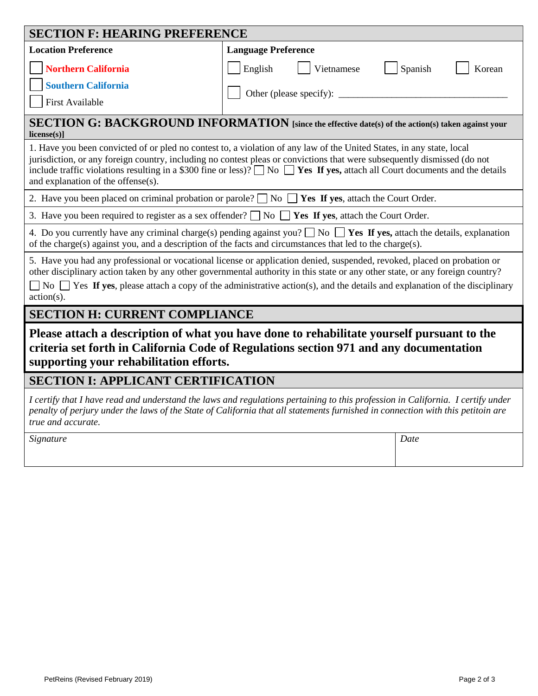| <b>SECTION F: HEARING PREFERENCE</b>                                                                                                                                                                                                                                                                                                                                                                                              |                            |                   |  |  |  |  |
|-----------------------------------------------------------------------------------------------------------------------------------------------------------------------------------------------------------------------------------------------------------------------------------------------------------------------------------------------------------------------------------------------------------------------------------|----------------------------|-------------------|--|--|--|--|
| <b>Location Preference</b>                                                                                                                                                                                                                                                                                                                                                                                                        | <b>Language Preference</b> |                   |  |  |  |  |
| <b>Northern California</b><br><b>Southern California</b><br><b>First Available</b>                                                                                                                                                                                                                                                                                                                                                | English<br>Vietnamese      | Spanish<br>Korean |  |  |  |  |
| SECTION G: BACKGROUND INFORMATION [since the effective date(s) of the action(s) taken against your<br>$license(s)$ ]                                                                                                                                                                                                                                                                                                              |                            |                   |  |  |  |  |
| 1. Have you been convicted of or pled no contest to, a violation of any law of the United States, in any state, local<br>jurisdiction, or any foreign country, including no contest pleas or convictions that were subsequently dismissed (do not<br>include traffic violations resulting in a \$300 fine or less)? $\Box$ No $\Box$ Yes If yes, attach all Court documents and the details<br>and explanation of the offense(s). |                            |                   |  |  |  |  |
| 2. Have you been placed on criminal probation or parole? $\Box$ No $\Box$ Yes If yes, attach the Court Order.                                                                                                                                                                                                                                                                                                                     |                            |                   |  |  |  |  |
| 3. Have you been required to register as a sex offender? $\Box$ No $\Box$ Yes If yes, attach the Court Order.                                                                                                                                                                                                                                                                                                                     |                            |                   |  |  |  |  |
| 4. Do you currently have any criminal charge(s) pending against you? $\Box$ No $\Box$ Yes If yes, attach the details, explanation<br>of the charge(s) against you, and a description of the facts and circumstances that led to the charge(s).                                                                                                                                                                                    |                            |                   |  |  |  |  |
| 5. Have you had any professional or vocational license or application denied, suspended, revoked, placed on probation or<br>other disciplinary action taken by any other governmental authority in this state or any other state, or any foreign country?<br>$\Box$ No $\Box$ Yes If yes, please attach a copy of the administrative action(s), and the details and explanation of the disciplinary<br>$action(s)$ .              |                            |                   |  |  |  |  |
| <b>SECTION H: CURRENT COMPLIANCE</b>                                                                                                                                                                                                                                                                                                                                                                                              |                            |                   |  |  |  |  |
| Please attach a description of what you have done to rehabilitate yourself pursuant to the<br>criteria set forth in California Code of Regulations section 971 and any documentation<br>supporting your rehabilitation efforts.                                                                                                                                                                                                   |                            |                   |  |  |  |  |
| <b>SECTION I: APPLICANT CERTIFICATION</b>                                                                                                                                                                                                                                                                                                                                                                                         |                            |                   |  |  |  |  |
| I certify that I have read and understand the laws and regulations pertaining to this profession in California. I certify under<br>penalty of perjury under the laws of the State of California that all statements furnished in connection with this petitoin are<br>true and accurate.                                                                                                                                          |                            |                   |  |  |  |  |
| Signature                                                                                                                                                                                                                                                                                                                                                                                                                         |                            | Date              |  |  |  |  |